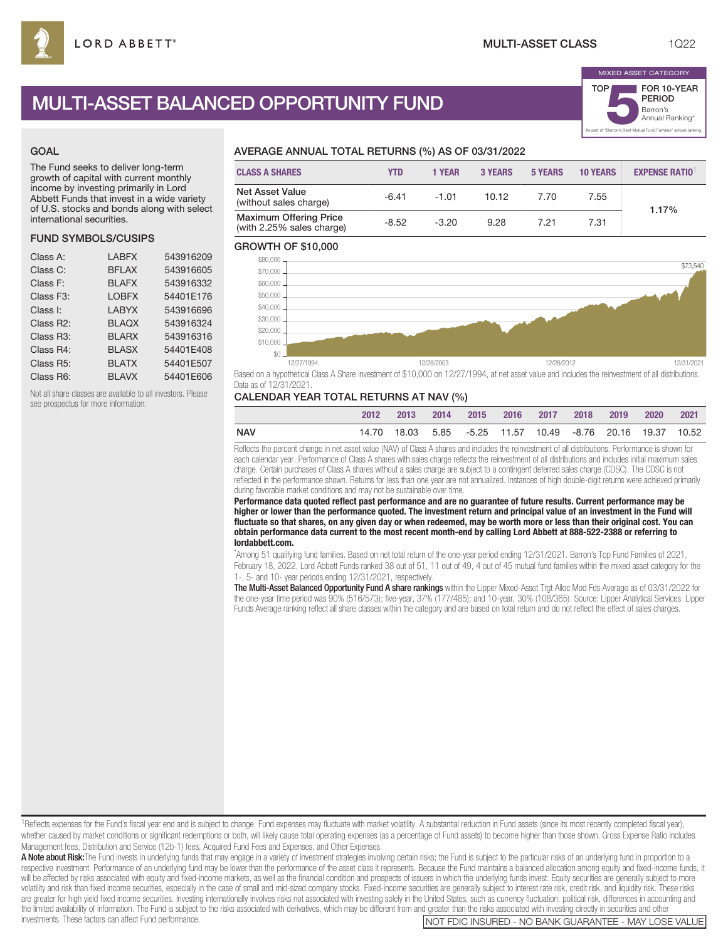# MULTI-ASSET BALANCED OPPORTUNITY FUND

#### GOAL

The Fund seeks to deliver long-term growth of capital with current monthly income by investing primarily in Lord Abbett Funds that invest in a wide variety of U.S. stocks and bonds along with select international securities.

### FUND SYMBOLS/CUSIPS

| <b>LABFX</b> | 543916209 |
|--------------|-----------|
| <b>BFLAX</b> | 543916605 |
| <b>BLAFX</b> | 543916332 |
| <b>LOBFX</b> | 54401E176 |
| <b>LABYX</b> | 543916696 |
| <b>BLAQX</b> | 543916324 |
| <b>BLARX</b> | 543916316 |
| <b>BLASX</b> | 54401E408 |
| <b>BLATX</b> | 54401E507 |
| <b>BLAVX</b> | 54401E606 |
|              |           |

Not all share classes are available to all investors. Please see prospectus for more information.

## AVERAGE ANNUAL TOTAL RETURNS (%) AS OF 03/31/2022

| <b>CLASS A SHARES</b>                                      | <b>YTD</b> | 1 YEAR  | <b>3 YEARS</b> | <b>5 YEARS</b> | <b>10 YEARS</b> | <b>EXPENSE RATIO1</b> |
|------------------------------------------------------------|------------|---------|----------------|----------------|-----------------|-----------------------|
| <b>Net Asset Value</b><br>(without sales charge)           | $-6.41$    | $-1.01$ | 10.12          | 7.70           | 7.55            | 1.17%                 |
| <b>Maximum Offering Price</b><br>(with 2.25% sales charge) | $-8.52$    | $-3.20$ | 9.28           | 7.21           | 7.31            |                       |

#### GROWTH OF \$10,000



Based on a hypothetical Class A Share investment of \$10,000 on 12/27/1994, at net asset value and includes the reinvestment of all distributions. Data as of 12/31/2021.

### CALENDAR YEAR TOTAL RETURNS AT NAV (%)

|     | 2012 | $-2013$ |  | 2014 2015 2016 2017 2018 |  | 2019                                                                | 2020 | 2021 |
|-----|------|---------|--|--------------------------|--|---------------------------------------------------------------------|------|------|
| NAV |      |         |  |                          |  | 14.70  18.03  5.85  -5.25  11.57  10.49  -8.76  20.16  19.37  10.52 |      |      |

Reflects the percent change in net asset value (NAV) of Class A shares and includes the reinvestment of all distributions. Performance is shown for each calendar year. Performance of Class A shares with sales charge reflects the reinvestment of all distributions and includes initial maximum sales charge. Certain purchases of Class A shares without a sales charge are subject to a contingent deferred sales charge (CDSC). The CDSC is not reflected in the performance shown. Returns for less than one year are not annualized. Instances of high double-digit returns were achieved primarily during favorable market conditions and may not be sustainable over time.

**Performance data quoted reflect past performance and are no guarantee of future results. Current performance may be higher or lower than the performance quoted. The investment return and principal value of an investment in the Fund will fluctuate so that shares, on any given day or when redeemed, may be worth more or less than their original cost. You can obtain performance data current to the most recent month-end by calling Lord Abbett at 888-522-2388 or referring to lordabbett.com.**

\* Among 51 qualifying fund families. Based on net total return of the one-year period ending 12/31/2021. Barron's Top Fund Families of 2021, February 18, 2022, Lord Abbett Funds ranked 38 out of 51, 11 out of 49, 4 out of 45 mutual fund families within the mixed asset category for the 1-, 5- and 10- year periods ending 12/31/2021, respectively.

The Multi-Asset Balanced Opportunity Fund A share rankings within the Lipper Mixed-Asset Trgt Alloc Mod Fds Average as of 03/31/2022 for the one-year time period was 90% (516/573); five-year, 37% (177/485); and 10-year, 30% (108/365). Source: Lipper Analytical Services. Lipper Funds Average ranking reflect all share classes within the category and are based on total return and do not reflect the effect of sales charges.

<sup>1</sup>Reflects expenses for the Fund's fiscal year end and is subject to change. Fund expenses may fluctuate with market volatility. A substantial reduction in Fund assets (since its most recently completed fiscal year), whether caused by market conditions or significant redemptions or both, will likely cause total operating expenses (as a percentage of Fund assets) to become higher than those shown. Gross Expense Ratio includes Management fees, Distribution and Service (12b-1) fees, Acquired Fund Fees and Expenses, and Other Expenses.

A Note about Risk:The Fund invests in underlying funds that may engage in a variety of investment strategies involving certain risks; the Fund is subject to the particular risks of an underlying fund in proportion to a respective investment. Performance of an underlying fund may be lower than the performance of the asset class it represents. Because the Fund maintains a balanced allocation among equity and fixed-income funds, it will be affected by risks associated with equity and fixed-income markets, as well as the financial condition and prospects of issuers in which the underlying funds invest. Equity securities are generally subject to more volatility and risk than fixed income securities, especially in the case of small and mid-sized company stocks. Fixed-income securities are generally subject to interest rate risk, credit risk, and liquidity risk. These ri are greater for high yield fixed income securities. Investing internationally involves risks not associated with investing solely in the United States, such as currency fluctuation, political risk, differences in accountin the limited availability of information. The Fund is subject to the risks associated with derivatives, which may be different from and greater than the risks associated with investing directly in securities and other<br>INOT

NOT FDIC INSURED - NO BANK GUARANTEE - MAY LOSE VALUE